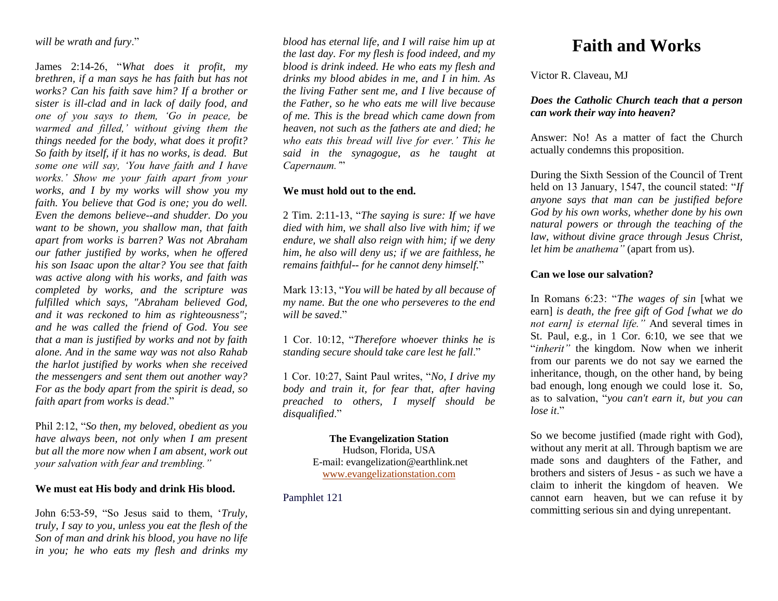*will be wrath and fury*."

James 2:14-26, "*What does it profit, my brethren, if a man says he has faith but has not works? Can his faith save him? If a brother or sister is ill-clad and in lack of daily food, and one of you says to them, 'Go in peace, be warmed and filled,' without giving them the things needed for the body, what does it profit? So faith by itself, if it has no works, is dead. But some one will say, 'You have faith and I have works.' Show me your faith apart from your works, and I by my works will show you my faith. You believe that God is one; you do well. Even the demons believe--and shudder. Do you want to be shown, you shallow man, that faith apart from works is barren? Was not Abraham our father justified by works, when he offered his son Isaac upon the altar? You see that faith was active along with his works, and faith was completed by works, and the scripture was fulfilled which says, "Abraham believed God, and it was reckoned to him as righteousness"; and he was called the friend of God. You see that a man is justified by works and not by faith alone. And in the same way was not also Rahab the harlot justified by works when she received the messengers and sent them out another way? For as the body apart from the spirit is dead, so faith apart from works is dead*."

Phil 2:12, "*So then, my beloved, obedient as you have always been, not only when I am present but all the more now when I am absent, work out your salvation with fear and trembling."*

#### **We must eat His body and drink His blood.**

John 6:53-59, "So Jesus said to them, '*Truly, truly, I say to you, unless you eat the flesh of the Son of man and drink his blood, you have no life in you; he who eats my flesh and drinks my* 

*blood has eternal life, and I will raise him up at the last day. For my flesh is food indeed, and my blood is drink indeed. He who eats my flesh and drinks my blood abides in me, and I in him. As the living Father sent me, and I live because of the Father, so he who eats me will live because of me. This is the bread which came down from heaven, not such as the fathers ate and died; he who eats this bread will live for ever.' This he said in the synagogue, as he taught at Capernaum.'*"

#### **We must hold out to the end.**

2 Tim. 2:11-13, "*The saying is sure: If we have died with him, we shall also live with him; if we endure, we shall also reign with him; if we deny him, he also will deny us; if we are faithless, he remains faithful-- for he cannot deny himself.*"

Mark 13:13, "*You will be hated by all because of my name. But the one who perseveres to the end*  will be saved."

1 Cor. 10:12, "*Therefore whoever thinks he is standing secure should take care lest he fall*."

1 Cor. 10:27, Saint Paul writes, "*No, I drive my body and train it, for fear that, after having preached to others, I myself should be disqualified*."

> **The Evangelization Station** Hudson, Florida, USA E-mail: evangelization@earthlink.net [www.evangelizationstation.com](http://www.pjpiisoe.org/)

Pamphlet 121

# **Faith and Works**

Victor R. Claveau, MJ

### *Does the Catholic Church teach that a person can work their way into heaven?*

Answer: No! As a matter of fact the Church actually condemns this proposition.

During the Sixth Session of the Council of Trent held on 13 January, 1547, the council stated: "*If anyone says that man can be justified before God by his own works, whether done by his own natural powers or through the teaching of the law, without divine grace through Jesus Christ, let him be anathema"* (apart from us).

## **Can we lose our salvation?**

In Romans 6:23: "*The wages of sin* [what we earn] *is death, the free gift of God [what we do not earn] is eternal life."* And several times in St. Paul, e.g., in 1 Cor. 6:10, we see that we "*inherit*" the kingdom. Now when we inherit from our parents we do not say we earned the inheritance, though, on the other hand, by being bad enough, long enough we could lose it. So, as to salvation, "*you can't earn it, but you can lose it*."

So we become justified (made right with God), without any merit at all. Through baptism we are made sons and daughters of the Father, and brothers and sisters of Jesus - as such we have a claim to inherit the kingdom of heaven. We cannot earn heaven, but we can refuse it by committing serious sin and dying unrepentant.